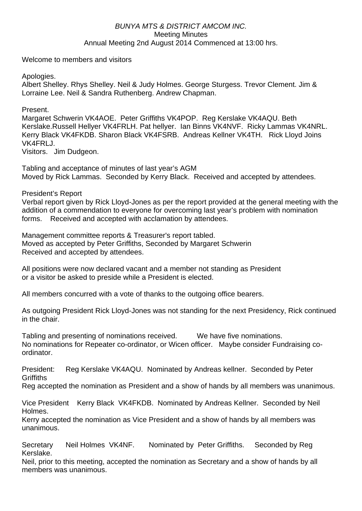## *BUNYA MTS & DISTRICT AMCOM INC.*  Meeting Minutes Annual Meeting 2nd August 2014 Commenced at 13:00 hrs.

Welcome to members and visitors

Apologies.

Albert Shelley. Rhys Shelley. Neil & Judy Holmes. George Sturgess. Trevor Clement. Jim & Lorraine Lee. Neil & Sandra Ruthenberg. Andrew Chapman.

Present.

Margaret Schwerin VK4AOE. Peter Griffiths VK4POP. Reg Kerslake VK4AQU. Beth Kerslake.Russell Hellyer VK4FRLH. Pat hellyer. Ian Binns VK4NVF. Ricky Lammas VK4NRL. Kerry Black VK4FKDB. Sharon Black VK4FSRB. Andreas Kellner VK4TH. Rick Lloyd Joins VK4FRLJ.

Visitors. Jim Dudgeon.

Tabling and acceptance of minutes of last year's AGM Moved by Rick Lammas. Seconded by Kerry Black. Received and accepted by attendees.

President's Report

Verbal report given by Rick Lloyd-Jones as per the report provided at the general meeting with the addition of a commendation to everyone for overcoming last year's problem with nomination forms. Received and accepted with acclamation by attendees.

Management committee reports & Treasurer's report tabled. Moved as accepted by Peter Griffiths, Seconded by Margaret Schwerin Received and accepted by attendees.

All positions were now declared vacant and a member not standing as President or a visitor be asked to preside while a President is elected.

All members concurred with a vote of thanks to the outgoing office bearers.

As outgoing President Rick Lloyd-Jones was not standing for the next Presidency, Rick continued in the chair.

Tabling and presenting of nominations received. We have five nominations. No nominations for Repeater co-ordinator, or Wicen officer. Maybe consider Fundraising coordinator.

President: Reg Kerslake VK4AQU. Nominated by Andreas kellner. Seconded by Peter **Griffiths** 

Reg accepted the nomination as President and a show of hands by all members was unanimous.

Vice President Kerry Black VK4FKDB. Nominated by Andreas Kellner. Seconded by Neil Holmes.

Kerry accepted the nomination as Vice President and a show of hands by all members was unanimous.

Secretary Neil Holmes VK4NF. Nominated by Peter Griffiths. Seconded by Reg Kerslake.

Neil, prior to this meeting, accepted the nomination as Secretary and a show of hands by all members was unanimous.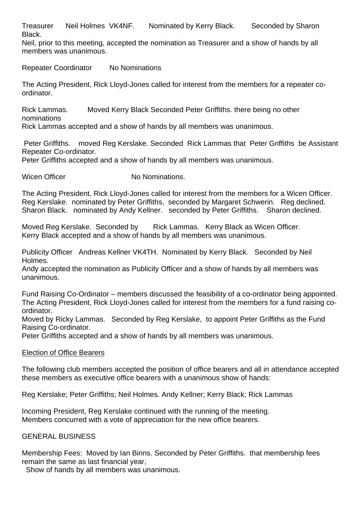Treasurer Neil Holmes VK4NF. Nominated by Kerry Black. Seconded by Sharon Black.

Neil, prior to this meeting, accepted the nomination as Treasurer and a show of hands by all members was unanimous.

Repeater Coordinator No Nominations

The Acting President, Rick Lloyd-Jones called for interest from the members for a repeater coordinator.

Rick Lammas. Moved Kerry Black Seconded Peter Griffiths. there being no other nominations

Rick Lammas accepted and a show of hands by all members was unanimous.

 Peter Griffiths. moved Reg Kerslake. Seconded Rick Lammas that Peter Griffiths be Assistant Repeater Co-ordinator.

Peter Griffiths accepted and a show of hands by all members was unanimous.

Wicen Officer No Nominations.

The Acting President, Rick Lloyd-Jones called for interest from the members for a Wicen Officer. Reg Kerslake. nominated by Peter Griffiths, seconded by Margaret Schwerin. Reg declined. Sharon Black. nominated by Andy Kellner. seconded by Peter Griffiths. Sharon declined.

Moved Reg Kerslake. Seconded by Rick Lammas. Kerry Black as Wicen Officer. Kerry Black accepted and a show of hands by all members was unanimous.

Publicity Officer Andreas Kellner VK4TH. Nominated by Kerry Black. Seconded by Neil Holmes.

Andy accepted the nomination as Publicity Officer and a show of hands by all members was unanimous.

Fund Raising Co-Ordinator – members discussed the feasibility of a co-ordinator being appointed. The Acting President, Rick Lloyd-Jones called for interest from the members for a fund raising coordinator.

Moved by Ricky Lammas. Seconded by Reg Kerslake, to appoint Peter Griffiths as the Fund Raising Co-ordinator.

Peter Griffiths accepted and a show of hands by all members was unanimous.

## Election of Office Bearers

The following club members accepted the position of office bearers and all in attendance accepted these members as executive office bearers with a unanimous show of hands:

Reg Kerslake; Peter Griffiths; Neil Holmes. Andy Kellner; Kerry Black; Rick Lammas

Incoming President, Reg Kerslake continued with the running of the meeting. Members concurred with a vote of appreciation for the new office bearers.

## GENERAL BUSINESS

Membership Fees: Moved by Ian Binns. Seconded by Peter Griffiths. that membership fees remain the same as last financial year,

Show of hands by all members was unanimous.